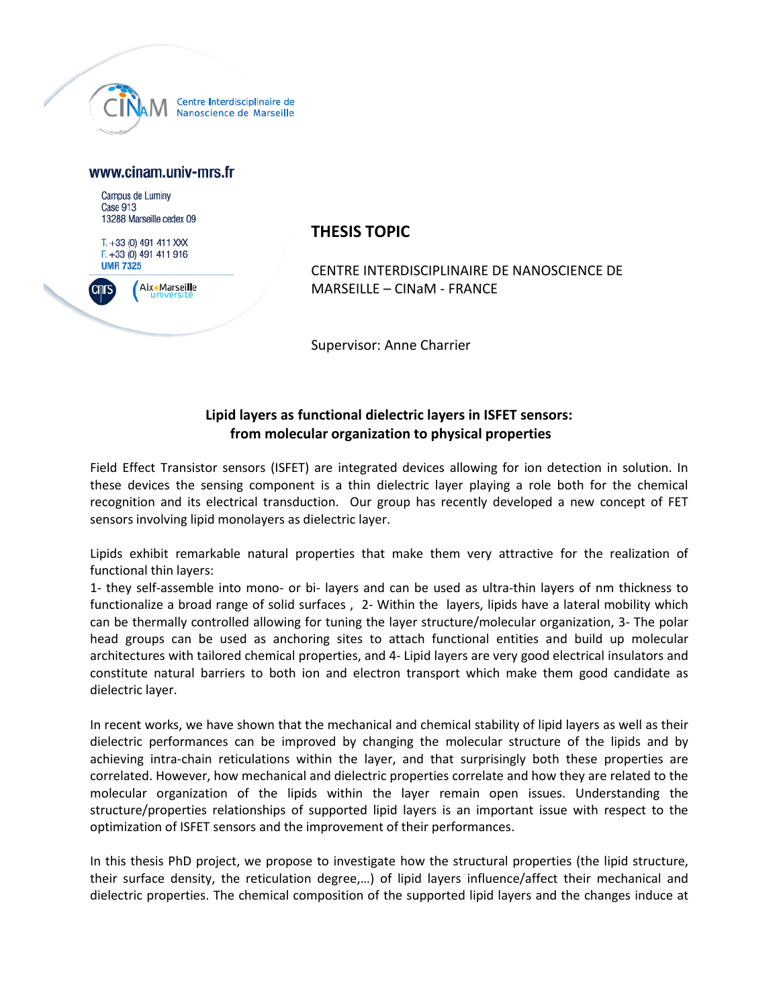

## www.cinam.univ-mrs.fr

Campus de Luminy Case 913 13288 Marseille cedex 09

 $T. +33(0)$  491 411 XXX  $F. +33(0)$  491 411 916 **UMR 7325** 



## **THESIS TOPIC**

CENTRE INTERDISCIPLINAIRE DE NANOSCIENCE DE MARSEILLE – CINaM - FRANCE

Supervisor: Anne Charrier

## **Lipid layers as functional dielectric layers in ISFET sensors: from molecular organization to physical properties**

Field Effect Transistor sensors (ISFET) are integrated devices allowing for ion detection in solution. In these devices the sensing component is a thin dielectric layer playing a role both for the chemical recognition and its electrical transduction. Our group has recently developed a new concept of FET sensors involving lipid monolayers as dielectric layer.

Lipids exhibit remarkable natural properties that make them very attractive for the realization of functional thin layers:

1- they self-assemble into mono- or bi- layers and can be used as ultra-thin layers of nm thickness to functionalize a broad range of solid surfaces , 2- Within the layers, lipids have a lateral mobility which can be thermally controlled allowing for tuning the layer structure/molecular organization, 3- The polar head groups can be used as anchoring sites to attach functional entities and build up molecular architectures with tailored chemical properties, and 4- Lipid layers are very good electrical insulators and constitute natural barriers to both ion and electron transport which make them good candidate as dielectric layer.

In recent works, we have shown that the mechanical and chemical stability of lipid layers as well as their dielectric performances can be improved by changing the molecular structure of the lipids and by achieving intra-chain reticulations within the layer, and that surprisingly both these properties are correlated. However, how mechanical and dielectric properties correlate and how they are related to the molecular organization of the lipids within the layer remain open issues. Understanding the structure/properties relationships of supported lipid layers is an important issue with respect to the optimization of ISFET sensors and the improvement of their performances.

In this thesis PhD project, we propose to investigate how the structural properties (the lipid structure, their surface density, the reticulation degree,…) of lipid layers influence/affect their mechanical and dielectric properties. The chemical composition of the supported lipid layers and the changes induce at